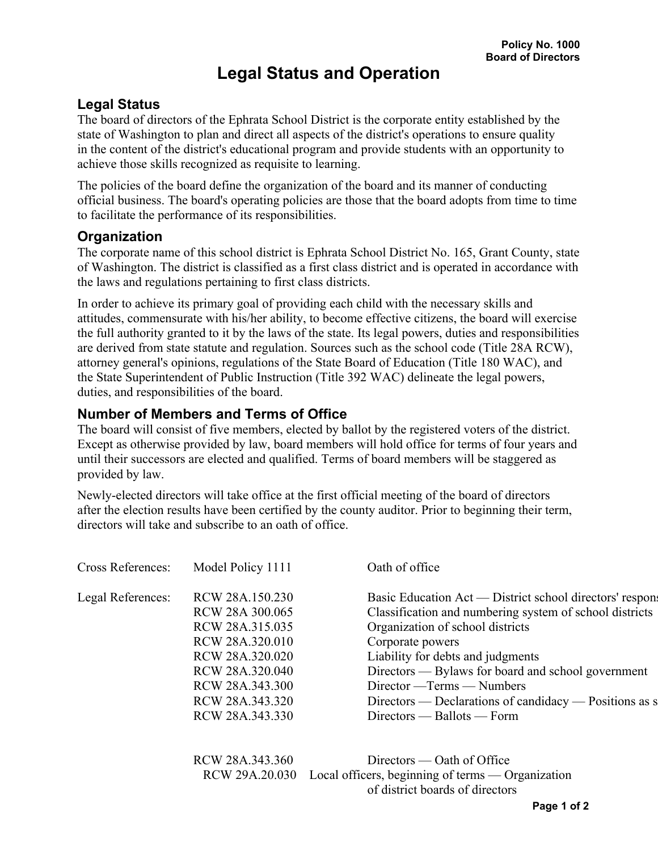## **Legal Status**

The board of directors of the Ephrata School District is the corporate entity established by the state of Washington to plan and direct all aspects of the district's operations to ensure quality in the content of the district's educational program and provide students with an opportunity to achieve those skills recognized as requisite to learning.

The policies of the board define the organization of the board and its manner of conducting official business. The board's operating policies are those that the board adopts from time to time to facilitate the performance of its responsibilities.

## **Organization**

The corporate name of this school district is Ephrata School District No. 165, Grant County, state of Washington. The district is classified as a first class district and is operated in accordance with the laws and regulations pertaining to first class districts.

In order to achieve its primary goal of providing each child with the necessary skills and attitudes, commensurate with his/her ability, to become effective citizens, the board will exercise the full authority granted to it by the laws of the state. Its legal powers, duties and responsibilities are derived from state statute and regulation. Sources such as the school code (Title 28A RCW), attorney general's opinions, regulations of the State Board of Education (Title 180 WAC), and the State Superintendent of Public Instruction (Title 392 WAC) delineate the legal powers, duties, and responsibilities of the board.

## **Number of Members and Terms of Office**

The board will consist of five members, elected by ballot by the registered voters of the district. Except as otherwise provided by law, board members will hold office for terms of four years and until their successors are elected and qualified. Terms of board members will be staggered as provided by law.

Newly-elected directors will take office at the first official meeting of the board of directors after the election results have been certified by the county auditor. Prior to beginning their term, directors will take and subscribe to an oath of office.

| Cross References: | Model Policy 1111 | Oath of office                                            |
|-------------------|-------------------|-----------------------------------------------------------|
| Legal References: | RCW 28A.150.230   | Basic Education Act — District school directors' response |
|                   | RCW 28A 300.065   | Classification and numbering system of school districts   |
|                   | RCW 28A.315.035   | Organization of school districts                          |
|                   | RCW 28A.320.010   | Corporate powers                                          |
|                   | RCW 28A.320.020   | Liability for debts and judgments                         |
|                   | RCW 28A.320.040   | Directors — Bylaws for board and school government        |
|                   | RCW 28A.343.300   | Director — Terms — Numbers                                |
|                   | RCW 28A.343.320   | Directors — Declarations of candidacy — Positions as s    |
|                   | RCW 28A.343.330   | $Directions$ — Ballots — Form                             |
|                   |                   |                                                           |
|                   | RCW 28A.343.360   | $Directions$ — Oath of Office                             |
|                   | RCW 29A.20.030    | Local officers, beginning of terms — Organization         |

of district boards of directors